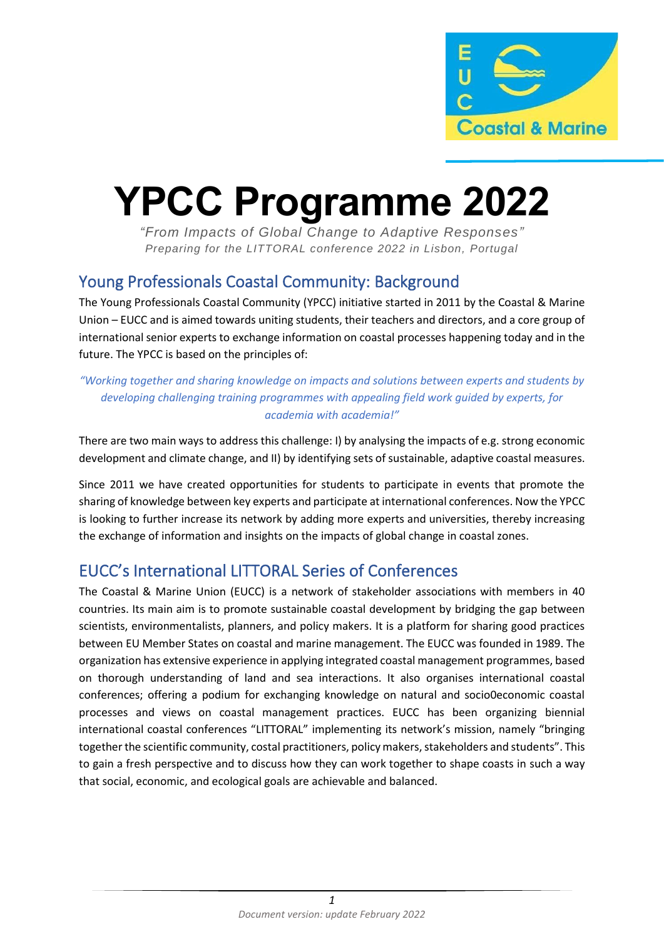

# **YPCC Programme 2022**

*"From Impacts of Global Change to Adaptive Responses" Preparing for the LITTORAL conference 2022 in Lisbon, Portugal*

## Young Professionals Coastal Community: Background

The Young Professionals Coastal Community (YPCC) initiative started in 2011 by the Coastal & Marine Union – EUCC and is aimed towards uniting students, their teachers and directors, and a core group of international senior experts to exchange information on coastal processes happening today and in the future. The YPCC is based on the principles of:

#### *"Working together and sharing knowledge on impacts and solutions between experts and students by developing challenging training programmes with appealing field work guided by experts, for academia with academia!"*

There are two main ways to address this challenge: I) by analysing the impacts of e.g. strong economic development and climate change, and II) by identifying sets of sustainable, adaptive coastal measures.

Since 2011 we have created opportunities for students to participate in events that promote the sharing of knowledge between key experts and participate at international conferences. Now the YPCC is looking to further increase its network by adding more experts and universities, thereby increasing the exchange of information and insights on the impacts of global change in coastal zones.

## EUCC's International LITTORAL Series of Conferences

The Coastal & Marine Union (EUCC) is a network of stakeholder associations with members in 40 countries. Its main aim is to promote sustainable coastal development by bridging the gap between scientists, environmentalists, planners, and policy makers. It is a platform for sharing good practices between EU Member States on coastal and marine management. The EUCC was founded in 1989. The organization has extensive experience in applying integrated coastal management programmes, based on thorough understanding of land and sea interactions. It also organises international coastal conferences; offering a podium for exchanging knowledge on natural and socio0economic coastal processes and views on coastal management practices. EUCC has been organizing biennial international coastal conferences "LITTORAL" implementing its network's mission, namely "bringing together the scientific community, costal practitioners, policy makers, stakeholders and students". This to gain a fresh perspective and to discuss how they can work together to shape coasts in such a way that social, economic, and ecological goals are achievable and balanced.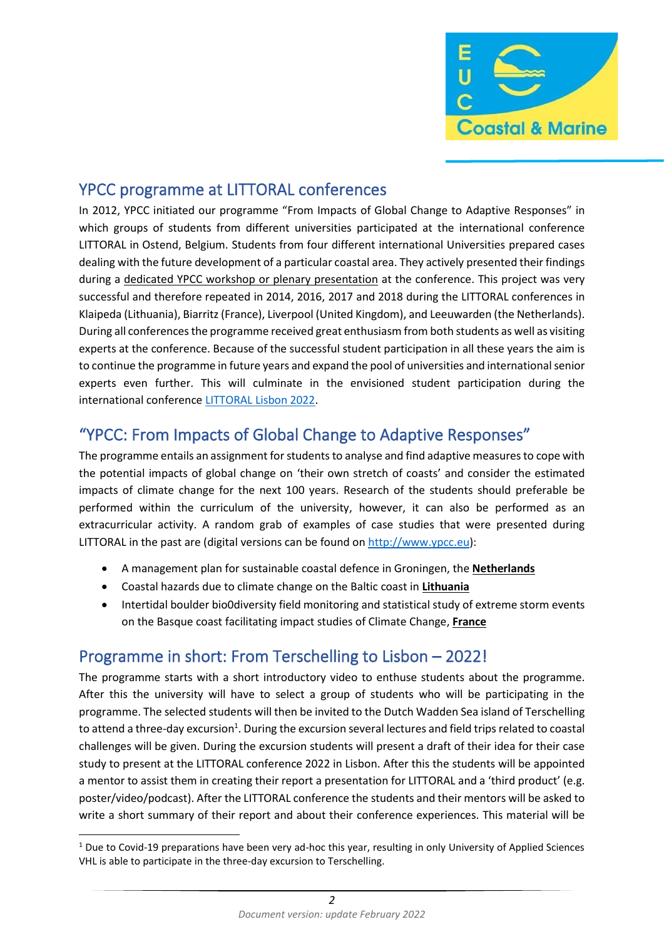

## YPCC programme at LITTORAL conferences

In 2012, YPCC initiated our programme "From Impacts of Global Change to Adaptive Responses" in which groups of students from different universities participated at the international conference LITTORAL in Ostend, Belgium. Students from four different international Universities prepared cases dealing with the future development of a particular coastal area. They actively presented their findings during a dedicated YPCC workshop or plenary presentation at the conference. This project was very successful and therefore repeated in 2014, 2016, 2017 and 2018 during the LITTORAL conferences in Klaipeda (Lithuania), Biarritz (France), Liverpool (United Kingdom), and Leeuwarden (the Netherlands). During all conferences the programme received great enthusiasm from both students as well as visiting experts at the conference. Because of the successful student participation in all these years the aim is to continue the programme in future years and expand the pool of universities and international senior experts even further. This will culminate in the envisioned student participation during the international conference [LITTORAL Lisbon 2022.](https://www.littoral22.com/)

## "YPCC: From Impacts of Global Change to Adaptive Responses"

The programme entails an assignment for students to analyse and find adaptive measures to cope with the potential impacts of global change on 'their own stretch of coasts' and consider the estimated impacts of climate change for the next 100 years. Research of the students should preferable be performed within the curriculum of the university, however, it can also be performed as an extracurricular activity. A random grab of examples of case studies that were presented during LITTORAL in the past are (digital versions can be found on [http://www.ypcc.eu\)](http://www.ypcc.eu/):

- A management plan for sustainable coastal defence in Groningen, the **Netherlands**
- Coastal hazards due to climate change on the Baltic coast in **Lithuania**
- Intertidal boulder bio0diversity field monitoring and statistical study of extreme storm events on the Basque coast facilitating impact studies of Climate Change, **France**

## Programme in short: From Terschelling to Lisbon – 2022!

The programme starts with a short introductory video to enthuse students about the programme. After this the university will have to select a group of students who will be participating in the programme. The selected students will then be invited to the Dutch Wadden Sea island of Terschelling to attend a three-day excursion<sup>1</sup>. During the excursion several lectures and field trips related to coastal challenges will be given. During the excursion students will present a draft of their idea for their case study to present at the LITTORAL conference 2022 in Lisbon. After this the students will be appointed a mentor to assist them in creating their report a presentation for LITTORAL and a 'third product' (e.g. poster/video/podcast). After the LITTORAL conference the students and their mentors will be asked to write a short summary of their report and about their conference experiences. This material will be

 $1$  Due to Covid-19 preparations have been very ad-hoc this year, resulting in only University of Applied Sciences VHL is able to participate in the three-day excursion to Terschelling.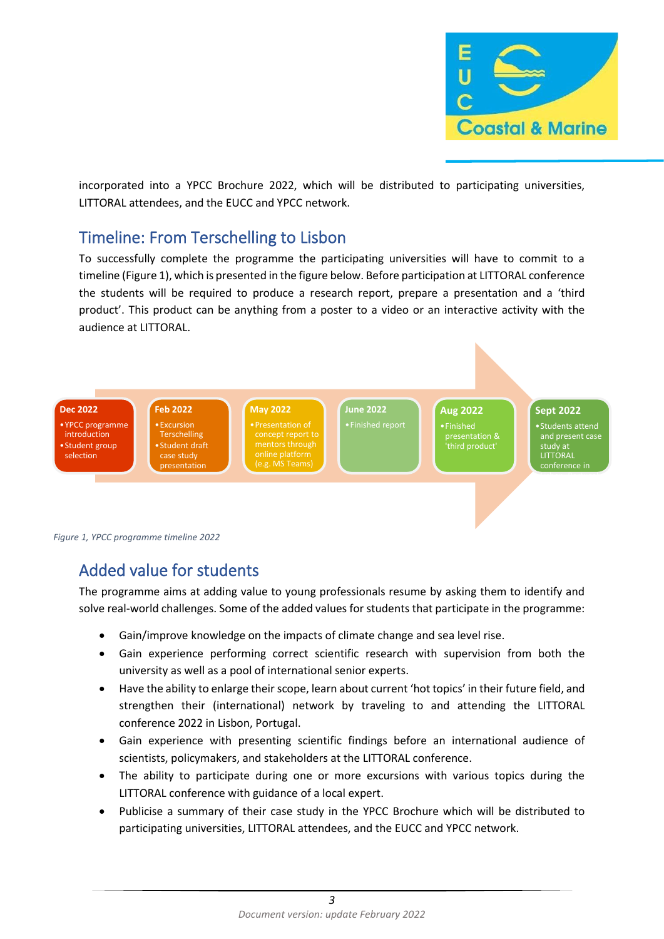

incorporated into a YPCC Brochure 2022, which will be distributed to participating universities, LITTORAL attendees, and the EUCC and YPCC network.

### Timeline: From Terschelling to Lisbon

To successfully complete the programme the participating universities will have to commit to a timeline (Figure 1), which is presented in the figure below. Before participation at LITTORAL conference the students will be required to produce a research report, prepare a presentation and a 'third product'. This product can be anything from a poster to a video or an interactive activity with the audience at LITTORAL.





## Added value for students

The programme aims at adding value to young professionals resume by asking them to identify and solve real-world challenges. Some of the added values for students that participate in the programme:

- Gain/improve knowledge on the impacts of climate change and sea level rise.
- Gain experience performing correct scientific research with supervision from both the university as well as a pool of international senior experts.
- Have the ability to enlarge their scope, learn about current 'hot topics' in their future field, and strengthen their (international) network by traveling to and attending the LITTORAL conference 2022 in Lisbon, Portugal.
- Gain experience with presenting scientific findings before an international audience of scientists, policymakers, and stakeholders at the LITTORAL conference.
- The ability to participate during one or more excursions with various topics during the LITTORAL conference with guidance of a local expert.
- Publicise a summary of their case study in the YPCC Brochure which will be distributed to participating universities, LITTORAL attendees, and the EUCC and YPCC network.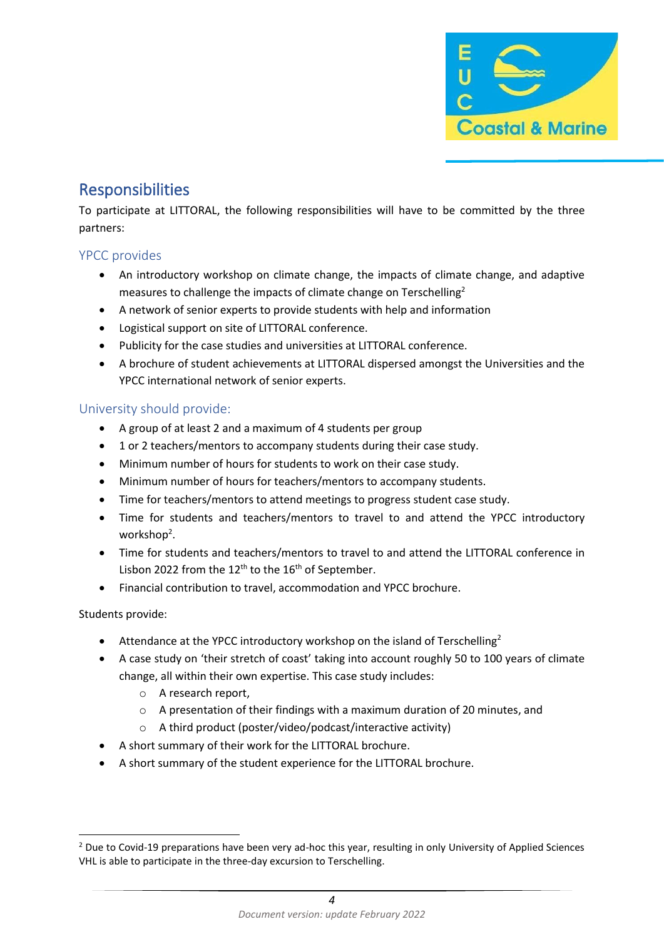

## Responsibilities

To participate at LITTORAL, the following responsibilities will have to be committed by the three partners:

#### YPCC provides

- An introductory workshop on climate change, the impacts of climate change, and adaptive measures to challenge the impacts of climate change on Terschelling<sup>2</sup>
- A network of senior experts to provide students with help and information
- Logistical support on site of LITTORAL conference.
- Publicity for the case studies and universities at LITTORAL conference.
- A brochure of student achievements at LITTORAL dispersed amongst the Universities and the YPCC international network of senior experts.

#### University should provide:

- A group of at least 2 and a maximum of 4 students per group
- 1 or 2 teachers/mentors to accompany students during their case study.
- Minimum number of hours for students to work on their case study.
- Minimum number of hours for teachers/mentors to accompany students.
- Time for teachers/mentors to attend meetings to progress student case study.
- Time for students and teachers/mentors to travel to and attend the YPCC introductory workshop<sup>2</sup>.
- Time for students and teachers/mentors to travel to and attend the LITTORAL conference in Lisbon 2022 from the  $12^{th}$  to the  $16^{th}$  of September.
- Financial contribution to travel, accommodation and YPCC brochure.

Students provide:

- Attendance at the YPCC introductory workshop on the island of Terschelling<sup>2</sup>
- A case study on 'their stretch of coast' taking into account roughly 50 to 100 years of climate change, all within their own expertise. This case study includes:
	- o A research report,
	- o A presentation of their findings with a maximum duration of 20 minutes, and
	- o A third product (poster/video/podcast/interactive activity)
- A short summary of their work for the LITTORAL brochure.
- A short summary of the student experience for the LITTORAL brochure.

<sup>&</sup>lt;sup>2</sup> Due to Covid-19 preparations have been very ad-hoc this year, resulting in only University of Applied Sciences VHL is able to participate in the three-day excursion to Terschelling.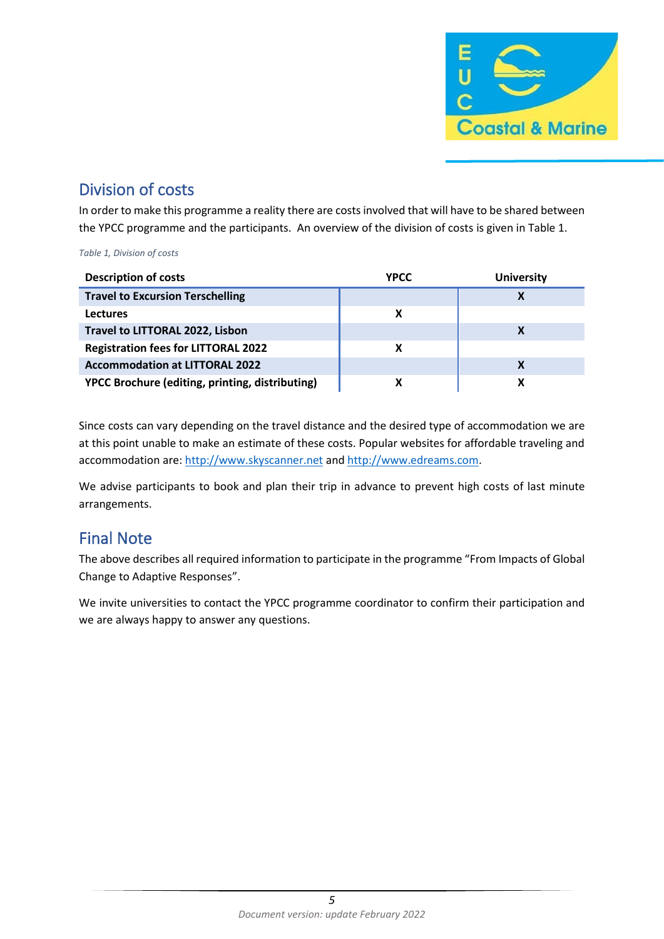

## Division of costs

In order to make this programme a reality there are costs involved that will have to be shared between the YPCC programme and the participants. An overview of the division of costs is given in Table 1.

*Table 1, Division of costs*

| <b>Description of costs</b>                     | YPCC | <b>University</b> |
|-------------------------------------------------|------|-------------------|
| <b>Travel to Excursion Terschelling</b>         |      |                   |
| <b>Lectures</b>                                 |      |                   |
| Travel to LITTORAL 2022, Lisbon                 |      |                   |
| <b>Registration fees for LITTORAL 2022</b>      |      |                   |
| <b>Accommodation at LITTORAL 2022</b>           |      |                   |
| YPCC Brochure (editing, printing, distributing) |      |                   |

Since costs can vary depending on the travel distance and the desired type of accommodation we are at this point unable to make an estimate of these costs. Popular websites for affordable traveling and accommodation are: [http://www.skyscanner.net](http://www.skyscanner.net/) an[d http://www.edreams.com.](http://www.edreams.com/)

We advise participants to book and plan their trip in advance to prevent high costs of last minute arrangements.

## Final Note

The above describes all required information to participate in the programme "From Impacts of Global Change to Adaptive Responses".

We invite universities to contact the YPCC programme coordinator to confirm their participation and we are always happy to answer any questions.